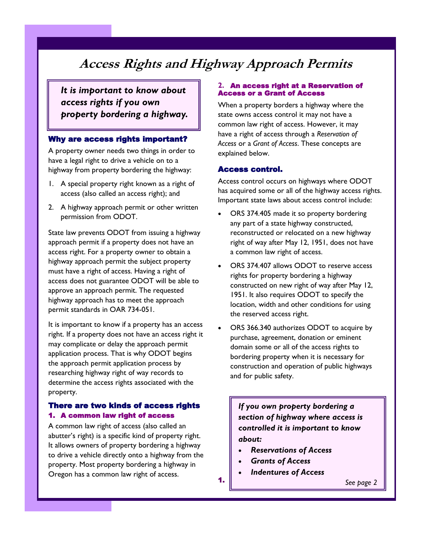# **Access Rights and Highway Approach Permits**

*It is important to know about access rights if you own property bordering a highway.* 

## Why are access rights important?

A property owner needs two things in order to have a legal right to drive a vehicle on to a highway from property bordering the highway:

- 1. A special property right known as a right of access (also called an access right); and
- 2. A highway approach permit or other written permission from ODOT.

State law prevents ODOT from issuing a highway approach permit if a property does not have an access right. For a property owner to obtain a highway approach permit the subject property must have a right of access. Having a right of access does not guarantee ODOT will be able to approve an approach permit. The requested highway approach has to meet the approach permit standards in OAR 734-051.

It is important to know if a property has an access right. If a property does not have an access right it may complicate or delay the approach permit application process. That is why ODOT begins the approach permit application process by researching highway right of way records to determine the access rights associated with the property.

## There are two kinds of access rights 1. A common law right of access

A common law right of access (also called an abutter's right) is a specific kind of property right. It allows owners of property bordering a highway to drive a vehicle directly onto a highway from the property. Most property bordering a highway in Oregon has a common law right of access.

#### **2.** An access right at a Reservation of Access or a Grant of Access

When a property borders a highway where the state owns access control it may not have a common law right of access. However, it may have a right of access through a *Reservation of Access* or a *Grant of Access*. These concepts are explained below.

## Access control.

Access control occurs on highways where ODOT has acquired some or all of the highway access rights. Important state laws about access control include:

- ORS 374.405 made it so property bordering any part of a state highway constructed, reconstructed or relocated on a new highway right of way after May 12, 1951, does not have a common law right of access.
- ORS 374.407 allows ODOT to reserve access rights for property bordering a highway constructed on new right of way after May 12, 1951. It also requires ODOT to specify the location, width and other conditions for using the reserved access right.
- ORS 366.340 authorizes ODOT to acquire by purchase, agreement, donation or eminent domain some or all of the access rights to bordering property when it is necessary for construction and operation of public highways and for public safety.

*If you own property bordering a section of highway where access is controlled it is important to know about:*

- *Reservations of Access*
- *Grants of Access*
- *Indentures of Access*

*See page 2*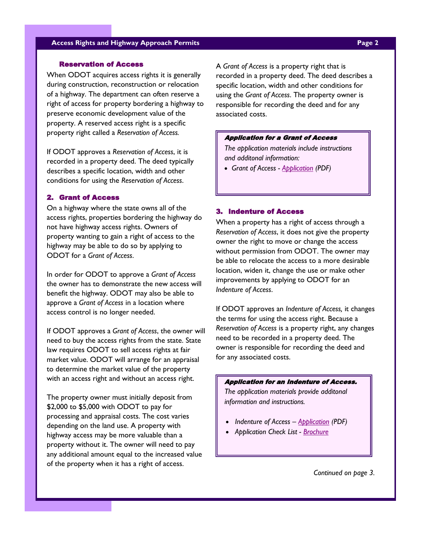### **Access Rights and Highway Approach Permits Page 2**

#### Reservation of Access

When ODOT acquires access rights it is generally during construction, reconstruction or relocation of a highway. The department can often reserve a right of access for property bordering a highway to preserve economic development value of the property. A reserved access right is a specific property right called a *Reservation of Access.*

If ODOT approves a *Reservation of Access*, it is recorded in a property deed. The deed typically describes a specific location, width and other conditions for using the *Reservation of Access*.

#### 2. Grant of Access

On a highway where the state owns all of the access rights, properties bordering the highway do not have highway access rights. Owners of property wanting to gain a right of access to the highway may be able to do so by applying to ODOT for a *Grant of Access*.

In order for ODOT to approve a *Grant of Access* the owner has to demonstrate the new access will benefit the highway. ODOT may also be able to approve a *Grant of Access* in a location where access control is no longer needed.

If ODOT approves a *Grant of Access*, the owner will need to buy the access rights from the state. State law requires ODOT to sell access rights at fair market value. ODOT will arrange for an appraisal to determine the market value of the property with an access right and without an access right.

The property owner must initially deposit from \$2,000 to \$5,000 with ODOT to pay for processing and appraisal costs. The cost varies depending on the land use. A property with highway access may be more valuable than a property without it. The owner will need to pay any additional amount equal to the increased value of the property when it has a right of access.

A *Grant of Access* is a property right that is recorded in a property deed. The deed describes a specific location, width and other conditions for using the *Grant of Access*. The property owner is responsible for recording the deed and for any associated costs.

#### Application for a Grant of Access

*The application materials include instructions and additonal information:* 

*Grant of Access - [Application](https://www.oregon.gov/odot/Forms/2ODOT/7342524.pdf) (PDF)* 

#### 3. Indenture of Access

When a property has a right of access through a *Reservation of Access*, it does not give the property owner the right to move or change the access without permission from ODOT. The owner may be able to relocate the access to a more desirable location, widen it, change the use or make other improvements by applying to ODOT for an *Indenture of Access*.

If ODOT approves an *Indenture of Access,* it changes the terms for using the access right. Because a *Reservation of Access* is a property right, any changes need to be recorded in a property deed. The owner is responsible for recording the deed and for any associated costs.

#### Application for an Indenture of Access.

*The application materials provide additonal information and instructions.* 

- *Indenture of Access – [Application](https://www.oregon.gov/odot/Forms/2ODOT/7343792.pdf) (PDF)*
- *Application Check List - [Brochure](https://www.oregon.gov/ODOT/Engineering/Docs_AccessMngt/indenturechecklist.pdf)*

*Continued on page 3.*